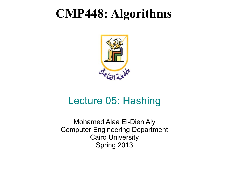### **CMP448: Algorithms**



### Lecture 05: Hashing

Mohamed Alaa El-Dien Aly Computer Engineering Department Cairo University Spring 2013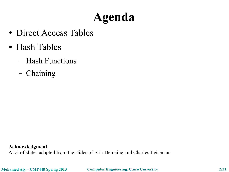## **Agenda**

- Direct Access Tables
- Hash Tables
	- Hash Functions
	- Chaining

**Acknowledgment** A lot of slides adapted from the slides of Erik Demaine and Charles Leiserson

**Mohamed Aly – CMP448 Spring 2013 Computer Engineering, Cairo University 2/21**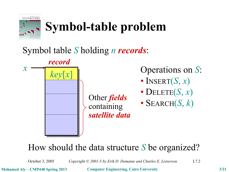

# **Symbol-table problem**

#### Symbol table *S* holding *n records*:



Operations on *S*:

- INSERT $(S, x)$
- DELETE $(S, x)$
- SEARCH $(S, k)$

#### How should the data structure *S* be organized?

October 3, 2005 *Copyright © 2001-5 by Erik D. Demaine and Charles E. Leiserson* L7.2

**Mohamed Aly – CMP448 Spring 2013 Computer Engineering, Cairo University 3/21**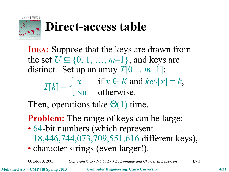

## **Direct-access table**

**IDEA**: Suppose that the keys are drawn from the set  $U \subseteq \{0, 1, ..., m-1\}$ , and keys are distinct. Set up an array *T*[0 . . *m*–1]:  $T[k] =$  $x$  if  $x \in K$  and  $key[x] = k$ , NIL otherwise.

Then, operations take  $\Theta(1)$  time.

**Problem:** The range of keys can be large:

- 64-bit numbers (which represent 18,446,744,073,709,551,616 different keys),
- character strings (even larger!).

October 3, 2005 *Copyright © 2001-5 by Erik D. Demaine and Charles E. Leiserson* L7.3

**Mohamed Aly – CMP448 Spring 2013 Computer Engineering, Cairo University 4/21**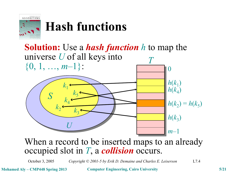

## **Hash functions**



#### when a record to be mserted maps to an anead When a record to be inserted maps to an already occupied slot in *T*, a *collision* occurs.

October 3, 2005 *Copyright © 2001-5 by Erik D. Demaine and Charles E. Leiserson* L7.4

**Mohamed Aly – CMP448 Spring 2013 Computer Engineering, Cairo University 5/21**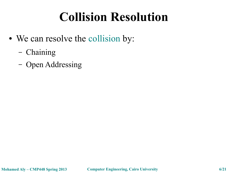## **Collision Resolution**

- We can resolve the collision by:
	- Chaining
	- Open Addressing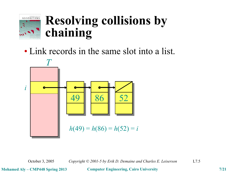

## **Resolving collisions by chaining**

• Link records in the same slot into a list.



October 3, 2005 *Copyright © 2001-5 by Erik D. Demaine and Charles E. Leiserson* L7.5

**Mohamed Aly – CMP448 Spring 2013 Computer Engineering, Cairo University 7/21**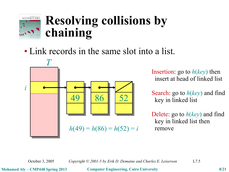

## **Resolving collisions by chaining**

• Link records in the same slot into a list.



*Insertion:* go to *h*(*key*) then  $\overline{\text{HISCH}}$  at  $\overline{\text{HCAU}}$ insert at head of linked list

Search: go to  $h(key)$  and find key in linked list.

**Delete:** go to *h*(*key*) and find key in linked list then remove

October 3, 2005 *Copyright © 2001-5 by Erik D. Demaine and Charles E. Leiserson* L7.5

**Mohamed Aly – CMP448 Spring 2013 Computer Engineering, Cairo University 8/21**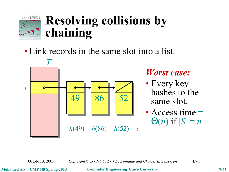

## **Resolving collisions by chaining**

• Link records in the same slot into a list.



#### *Worst case:*

- Every key hashes to the same slot.
- Access time  $=$  $\Theta(n)$  if  $|S| = n$

October 3, 2005 *Copyright © 2001-5 by Erik D. Demaine and Charles E. Leiserson* L7.5

**Mohamed Aly – CMP448 Spring 2013 Computer Engineering, Cairo University 9/21**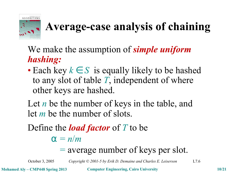

## **Average-case analysis of chaining**

We make the assumption of *simple uniform hashing:*

• Each key  $k \in S$  is equally likely to be hashed to any slot of table *T*, independent of where other keys are hashed.

Let *n* be the number of keys in the table, and let *m* be the number of slots.

Define the *load factor* of *T* to be

 $\alpha = n/m$ 

#### = average number of keys per slot.

October 3, 2005 *Copyright © 2001-5 by Erik D. Demaine and Charles E. Leiserson* L7.6

**Mohamed Aly – CMP448 Spring 2013 Computer Engineering, Cairo University 10/21**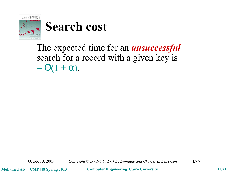

#### The expected time for an *unsuccessful* search for a record with a given key is  $= \Theta(1 + \alpha).$

October 3, 2005 *Copyright © 2001-5 by Erik D. Demaine and Charles E. Leiserson* L7.7

**Mohamed Aly – CMP448 Spring 2013 Computer Engineering, Cairo University 11/21**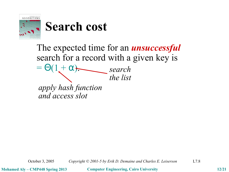

The expected time for an *unsuccessful* search for a record with a given key is  $= \Theta(1 + \alpha)$ *search the list*

*apply hash function and access slot*

October 3, 2005 *Copyright © 2001-5 by Erik D. Demaine and Charles E. Leiserson* L7.8

**Mohamed Aly – CMP448 Spring 2013 Computer Engineering, Cairo University 12/21**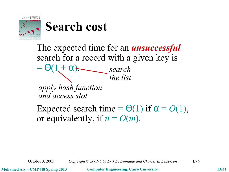

The expected time for an *unsuccessful* search for a record with a given key is  $= \Theta(1 + \alpha).$ *apply hash function and access slot search the list*

Expected search time =  $\Theta(1)$  if  $\alpha = O(1)$ , or equivalently, if  $n = O(m)$ .

October 3, 2005 *Copyright © 2001-5 by Erik D. Demaine and Charles E. Leiserson* L7.9

**Mohamed Aly – CMP448 Spring 2013 Computer Engineering, Cairo University 13/21**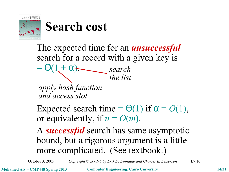

The expected time for an *unsuccessful* search for a record with a given key is

 $= \Theta(1 + \alpha)$ . *apply hash function and access slot search the list*

Expected search time =  $\Theta(1)$  if  $\alpha = O(1)$ , or equivalently, if  $n = O(m)$ .

A *successful* search has same asymptotic bound, but a rigorous argument is a little more complicated. (See textbook.)

October 3, 2005 *Copyright © 2001-5 by Erik D. Demaine and Charles E. Leiserson* L7.10

**Mohamed Aly – CMP448 Spring 2013 Computer Engineering, Cairo University 14/21**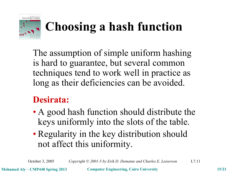

## **Choosing a hash function**

The assumption of simple uniform hashing is hard to guarantee, but several common techniques tend to work well in practice as long as their deficiencies can be avoided.

#### **Desirata:**

- A good hash function should distribute the keys uniformly into the slots of the table.
- Regularity in the key distribution should not affect this uniformity.

October 3, 2005 *Copyright © 2001-5 by Erik D. Demaine and Charles E. Leiserson* L7.11

**Mohamed Aly – CMP448 Spring 2013 Computer Engineering, Cairo University 15/21**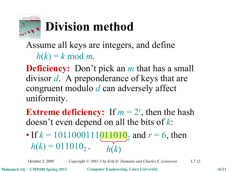

# **Division method**

Assume all keys are integers, and define  $h(k) = k \mod m$ .

**Deficiency:** Don't pick an *m* that has a small divisor *d*. A preponderance of keys that are congruent modulo *d* can adversely affect uniformity.

**Extreme deficiency:** If  $m = 2^r$ , then the hash doesn't even depend on all the bits of *k*:

*h*(*k*) • If  $k = 101100011100110_2$  and  $r = 6$ , then  $h(k) = 011010_2$ .

October 3, 2005 *Copyright © 2001-5 by Erik D. Demaine and Charles E. Leiserson* L7.12

**Mohamed Aly – CMP448 Spring 2013 Computer Engineering, Cairo University 16/21**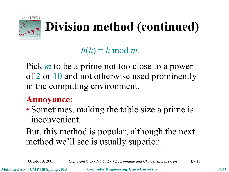

## **Division method (continued)**

 $h(k) = k \mod m$ .

Pick *m* to be a prime not too close to a power of 2 or 10 and not otherwise used prominently in the computing environment.

#### **Annoyance:**

• Sometimes, making the table size a prime is inconvenient.

#### But, this method is popular, although the next method we'll see is usually superior.

October 3, 2005 *Copyright © 2001-5 by Erik D. Demaine and Charles E. Leiserson* L7.13

**Mohamed Aly – CMP448 Spring 2013 Computer Engineering, Cairo University 17/21**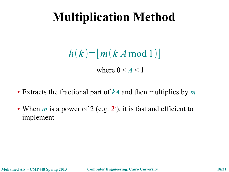## **Multiplication Method**

$$
h(k)=\lfloor m(k \,A \bmod 1)\rfloor
$$

where  $0 \leq A \leq 1$ 

- Extracts the fractional part of *kA* and then multiplies by *m*
- When  $m$  is a power of 2 (e.g.  $2<sup>r</sup>$ ), it is fast and efficient to implement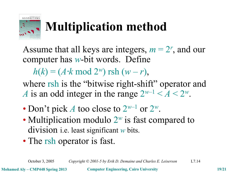

# **Multiplication method**

Assume that all keys are integers,  $m = 2<sup>r</sup>$ , and our computer has *w*-bit words. Define

 $h(k) = (A \cdot k \mod 2^w)$  rsh  $(w - r)$ ,

where rsh is the "bitwise right-shift" operator and *A* is an odd integer in the range  $2^{w-1} < A < 2^w$ .

- Don't pick *A* too close to  $2^{w-1}$  or  $2^w$ .
- Multiplication modulo 2<sup>*w*</sup> is fast compared to division i.e. least significant *w* bits.
- The rsh operator is fast.

October 3, 2005 *Copyright © 2001-5 by Erik D. Demaine and Charles E. Leiserson* L7.14

**Mohamed Aly – CMP448 Spring 2013 Computer Engineering, Cairo University 19/21**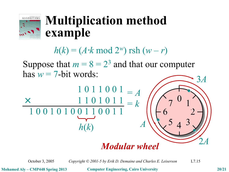

### **Multiplication method example**

 $h(k) = (A \cdot k \mod 2^w)$  rsh  $(w - r)$ 

Suppose that  $m = 8 = 2<sup>3</sup>$  and that our computer has  $w = 7$ -bit words:



October 3, 2005 *Copyright © 2001-5 by Erik D. Demaine and Charles E. Leiserson* L7.15

**Mohamed Aly – CMP448 Spring 2013 Computer Engineering, Cairo University 20/21**